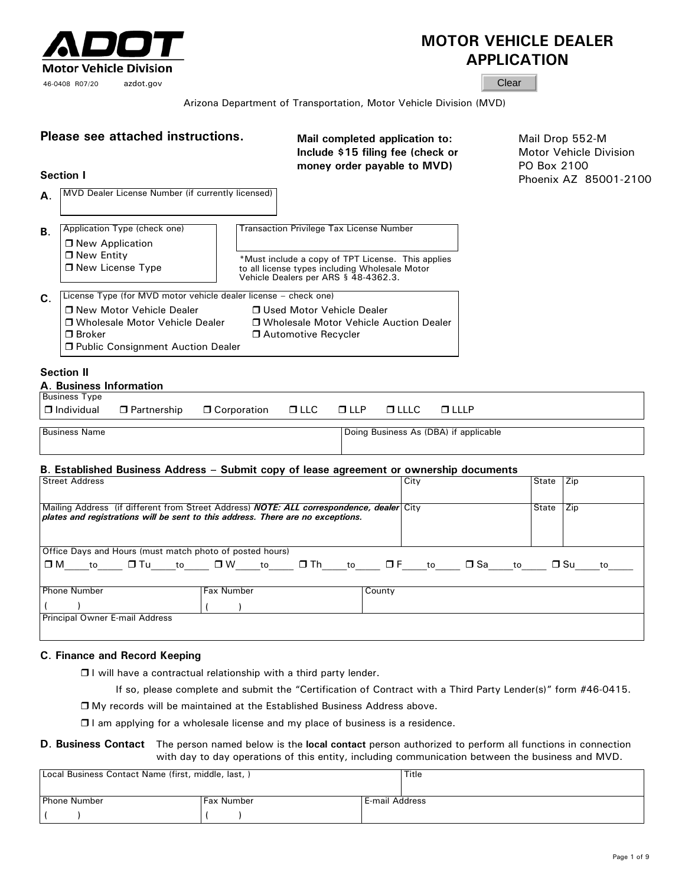

# **MOTOR VEHICLE DEALER APPLICATION**

**Clear** 

Arizona Department of Transportation, Motor Vehicle Division (MVD)

|           | Please see attached instructions.<br><b>Section I</b>                                                                                                                                     | Mail completed application to:<br>Include \$15 filing fee (check or<br>money order payable to MVD)                                                                                             | PO Box 2100 | Mail Drop 552-M<br>Motor Vehicle Division<br>Phoenix AZ 85001-2100 |
|-----------|-------------------------------------------------------------------------------------------------------------------------------------------------------------------------------------------|------------------------------------------------------------------------------------------------------------------------------------------------------------------------------------------------|-------------|--------------------------------------------------------------------|
| А.        | MVD Dealer License Number (if currently licensed)                                                                                                                                         |                                                                                                                                                                                                |             |                                                                    |
| <b>B.</b> | Application Type (check one)<br>□ New Application<br>$\Box$ New Entity<br>□ New License Type                                                                                              | <b>Transaction Privilege Tax License Number</b><br>*Must include a copy of TPT License. This applies<br>to all license types including Wholesale Motor<br>Vehicle Dealers per ARS § 48-4362.3. |             |                                                                    |
| C.        | License Type (for MVD motor vehicle dealer license - check one)<br>□ New Motor Vehicle Dealer<br>□ Wholesale Motor Vehicle Dealer<br>$\Box$ Broker<br>□ Public Consignment Auction Dealer | □ Used Motor Vehicle Dealer<br>□ Wholesale Motor Vehicle Auction Dealer<br>□ Automotive Recycler                                                                                               |             |                                                                    |
|           | <b>Section II</b><br>A. Business Information                                                                                                                                              |                                                                                                                                                                                                |             |                                                                    |
|           | <b>Business Type</b><br>$\Box$ Individual<br>$\Box$ Partnership<br>□ Corporation                                                                                                          | $\Box$ LLLP<br>$\Box$ LLC<br>$\Box$ LLP<br>$\Box$ LLLC                                                                                                                                         |             |                                                                    |
|           | <b>Business Name</b>                                                                                                                                                                      | Doing Business As (DBA) if applicable                                                                                                                                                          |             |                                                                    |
|           | B. Established Business Address - Submit copy of lease agreement or ownership documents                                                                                                   |                                                                                                                                                                                                |             |                                                                    |
|           | <b>Street Address</b>                                                                                                                                                                     | City                                                                                                                                                                                           | State       | <b>Zip</b>                                                         |
|           | Mailing Address (if different from Street Address) <b>NOTE: ALL correspondence, dealer</b> City<br>plates and registrations will be sent to this address. There are no exceptions.        |                                                                                                                                                                                                | State       | Zip                                                                |
|           | Office Days and Hours (must match photo of posted hours)<br>$\square$ M to $\square$ Tu to $\square$ W to $\square$ Th to $\square$ F to $\square$ Sa to                                  |                                                                                                                                                                                                |             | $\Box$ Su<br>to                                                    |
|           | <b>Phone Number</b><br>Fax Number<br><b>Principal Owner E-mail Address</b>                                                                                                                | County                                                                                                                                                                                         |             |                                                                    |

### **C**. **Finance and Record Keeping**

 $\Box$  I will have a contractual relationship with a third party lender.

If so, please complete and submit the "Certification of Contract with a Third Party Lender(s)" form #46-0415.

My records will be maintained at the Established Business Address above.

 $\Box$  I am applying for a wholesale license and my place of business is a residence.

### **D**. **Business Contact** The person named below is the **local contact** person authorized to perform all functions in connection with day to day operations of this entity, including communication between the business and MVD.

| Local Business Contact Name (first, middle, last, ) |                   | Title                 |
|-----------------------------------------------------|-------------------|-----------------------|
| <b>Phone Number</b>                                 | <b>Fax Number</b> | <b>E-mail Address</b> |
|                                                     |                   |                       |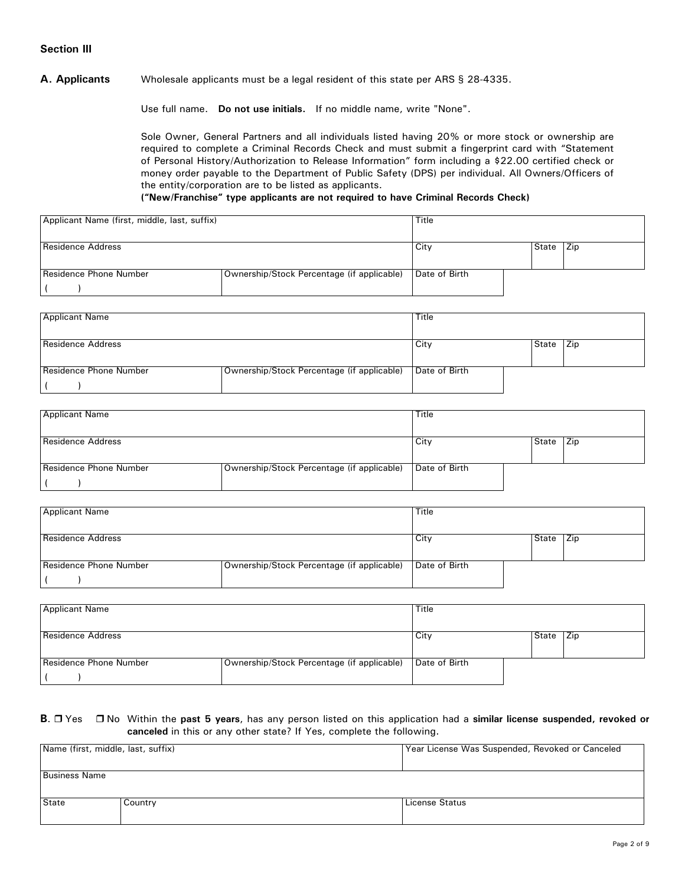## **Section III**

### **A. Applicants** Wholesale applicants must be a legal resident of this state per ARS § 28-4335.

Use full name. **Do not use initials.** If no middle name, write "None".

Sole Owner, General Partners and all individuals listed having 20% or more stock or ownership are required to complete a Criminal Records Check and must submit a fingerprint card with "Statement of Personal History/Authorization to Release Information" form including a \$22.00 certified check or money order payable to the Department of Public Safety (DPS) per individual. All Owners/Officers of the entity/corporation are to be listed as applicants.

#### **("New/Franchise" type applicants are not required to have Criminal Records Check)**

| Applicant Name (first, middle, last, suffix) |                                            | Title         |       |     |
|----------------------------------------------|--------------------------------------------|---------------|-------|-----|
| <b>Residence Address</b>                     |                                            | City          | State | Zip |
| Residence Phone Number                       | Ownership/Stock Percentage (if applicable) | Date of Birth |       |     |
|                                              |                                            |               |       |     |

| <b>Applicant Name</b>    |                                            | Title         |       |            |
|--------------------------|--------------------------------------------|---------------|-------|------------|
| <b>Residence Address</b> |                                            | City          | State | <b>Zip</b> |
| Residence Phone Number   | Ownership/Stock Percentage (if applicable) | Date of Birth |       |            |

| <b>Applicant Name</b>    |                                            | Title         |       |     |
|--------------------------|--------------------------------------------|---------------|-------|-----|
| <b>Residence Address</b> |                                            | City          | State | Zip |
| Residence Phone Number   | Ownership/Stock Percentage (if applicable) | Date of Birth |       |     |

| <b>Applicant Name</b>    |                                            | <b>Title</b>  |       |       |
|--------------------------|--------------------------------------------|---------------|-------|-------|
| <b>Residence Address</b> |                                            | City          | State | l Zip |
| Residence Phone Number   | Ownership/Stock Percentage (if applicable) | Date of Birth |       |       |

| <b>Applicant Name</b>    |                                            | Title         |       |     |
|--------------------------|--------------------------------------------|---------------|-------|-----|
| <b>Residence Address</b> |                                            | City          | State | Zip |
| Residence Phone Number   | Ownership/Stock Percentage (if applicable) | Date of Birth |       |     |

### **B**. □ Yes □ No Within the past 5 years, has any person listed on this application had a similar license suspended, revoked or **canceled** in this or any other state? If Yes, complete the following.

| Name (first, middle, last, suffix) |         | Year License Was Suspended, Revoked or Canceled |  |  |  |  |  |  |
|------------------------------------|---------|-------------------------------------------------|--|--|--|--|--|--|
| <b>Business Name</b>               |         |                                                 |  |  |  |  |  |  |
| State                              | Country | License Status                                  |  |  |  |  |  |  |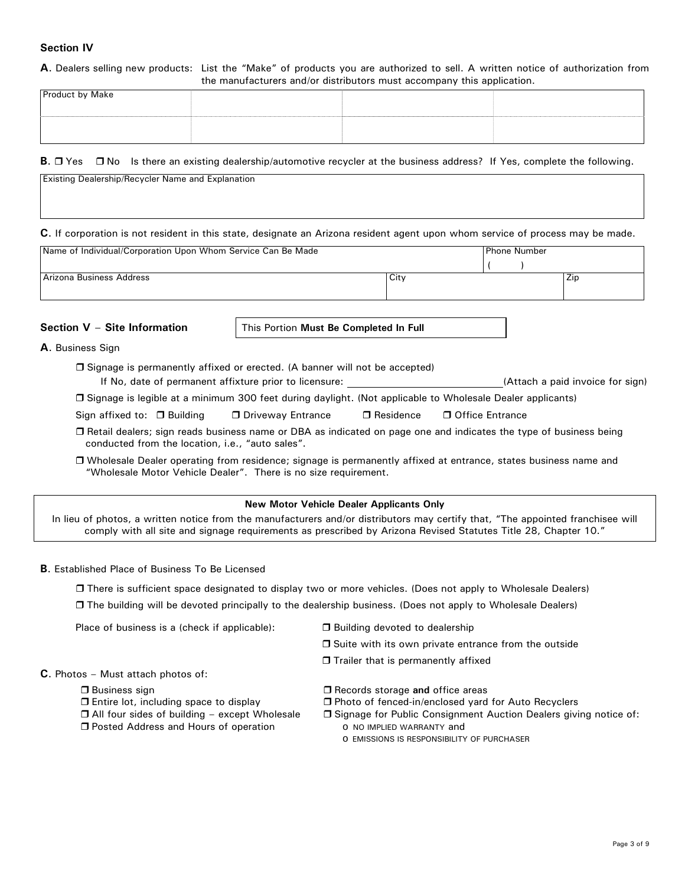# **Section IV**

### **A**. Dealers selling new products: List the "Make" of products you are authorized to sell. A written notice of authorization from the manufacturers and/or distributors must accompany this application.

| <b>Product by Make</b> |  |  |
|------------------------|--|--|
|                        |  |  |
|                        |  |  |
|                        |  |  |
|                        |  |  |

### **B.**  $\Box$  Yes  $\Box$  No Is there an existing dealership/automotive recycler at the business address? If Yes, complete the following.

| <b>Existing Dealership/Recycler Name and Explanation</b>                                                                       |                           |
|--------------------------------------------------------------------------------------------------------------------------------|---------------------------|
|                                                                                                                                |                           |
|                                                                                                                                |                           |
| C. If corporation is not resident in this state, designate an Arizona resident agent upon whom service of process may be made. |                           |
| <u>IN (I I'M IIO) AN IN A CONTINUE</u>                                                                                         | $\mathbf{v}$ $\mathbf{v}$ |

| Name of Individual/Corporation Upon Whom Service Can Be Made |      | <b>Phone Number</b> |           |
|--------------------------------------------------------------|------|---------------------|-----------|
|                                                              |      |                     |           |
| <b>Arizona Business Address</b>                              | City |                     | --<br>∠ıp |
|                                                              |      |                     |           |

**Section V** – **Site Information** This Portion **Must Be Completed In Full**

**A**. Business Sign

 Signage is permanently affixed or erected. (A banner will not be accepted) If No, date of permanent affixture prior to licensure: \_\_\_\_\_\_\_\_\_\_\_\_\_\_\_\_\_\_\_\_\_\_\_\_\_\_(Attach a paid invoice for sign)

| □ Signage is legible at a minimum 300 feet during daylight. (Not applicable to Wholesale Dealer applicants) |  |  |
|-------------------------------------------------------------------------------------------------------------|--|--|
|                                                                                                             |  |  |

 Retail dealers; sign reads business name or DBA as indicated on page one and indicates the type of business being conducted from the location, i.e., "auto sales".

 Wholesale Dealer operating from residence; signage is permanently affixed at entrance, states business name and "Wholesale Motor Vehicle Dealer". There is no size requirement.

### **New Motor Vehicle Dealer Applicants Only**

In lieu of photos, a written notice from the manufacturers and/or distributors may certify that, "The appointed franchisee will comply with all site and signage requirements as prescribed by Arizona Revised Statutes Title 28, Chapter 10."

### **B**. Established Place of Business To Be Licensed

There is sufficient space designated to display two or more vehicles. (Does not apply to Wholesale Dealers)

The building will be devoted principally to the dealership business. (Does not apply to Wholesale Dealers)

Place of business is a (check if applicable):  $\Box$  Building devoted to dealership

- 
- $\Box$  Suite with its own private entrance from the outside
- $\Box$  Trailer that is permanently affixed

# **C**. Photos – Must attach photos of:

□ Business sign

- $\Box$  Entire lot, including space to display
- □ All four sides of building except Wholesale
- **D** Posted Address and Hours of operation
- □ Records storage and office areas
- □ Photo of fenced-in/enclosed yard for Auto Recyclers
- □ Signage for Public Consignment Auction Dealers giving notice of: o NO IMPLIED WARRANTY and
	- o EMISSIONS IS RESPONSIBILITY OF PURCHASER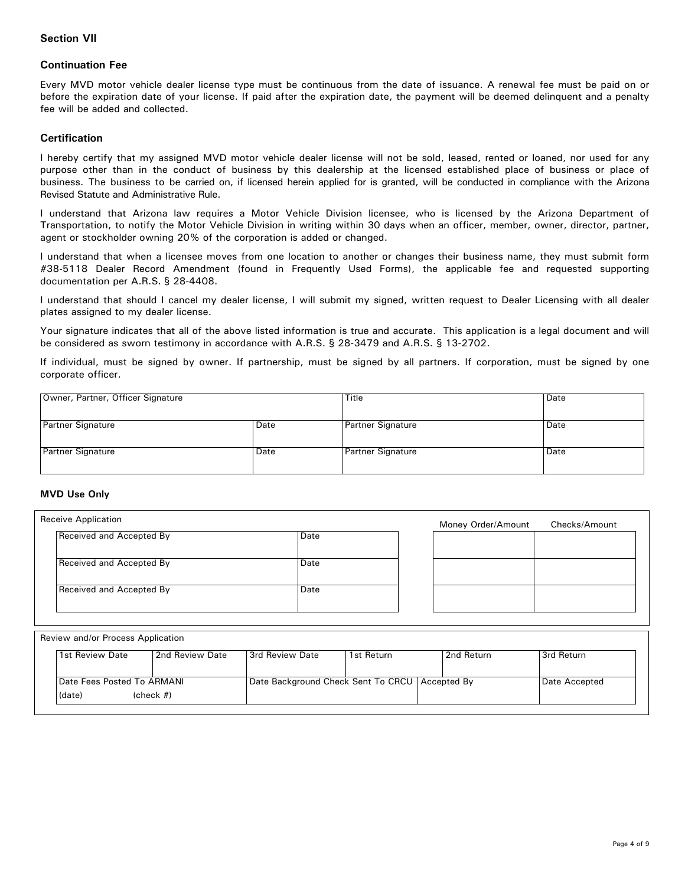## **Section VII**

### **Continuation Fee**

Every MVD motor vehicle dealer license type must be continuous from the date of issuance. A renewal fee must be paid on or before the expiration date of your license. If paid after the expiration date, the payment will be deemed delinquent and a penalty fee will be added and collected.

### **Certification**

I hereby certify that my assigned MVD motor vehicle dealer license will not be sold, leased, rented or loaned, nor used for any purpose other than in the conduct of business by this dealership at the licensed established place of business or place of business. The business to be carried on, if licensed herein applied for is granted, will be conducted in compliance with the Arizona Revised Statute and Administrative Rule.

I understand that Arizona law requires a Motor Vehicle Division licensee, who is licensed by the Arizona Department of Transportation, to notify the Motor Vehicle Division in writing within 30 days when an officer, member, owner, director, partner, agent or stockholder owning 20% of the corporation is added or changed.

I understand that when a licensee moves from one location to another or changes their business name, they must submit form #38-5118 Dealer Record Amendment (found in Frequently Used Forms), the applicable fee and requested supporting documentation per A.R.S. § 28-4408.

I understand that should I cancel my dealer license, I will submit my signed, written request to Dealer Licensing with all dealer plates assigned to my dealer license.

Your signature indicates that all of the above listed information is true and accurate. This application is a legal document and will be considered as sworn testimony in accordance with A.R.S. § 28-3479 and A.R.S. § 13-2702.

If individual, must be signed by owner. If partnership, must be signed by all partners. If corporation, must be signed by one corporate officer.

| Owner, Partner, Officer Signature |      | Title                    | Date |
|-----------------------------------|------|--------------------------|------|
| <b>Partner Signature</b>          | Date | Partner Signature        | Date |
| <b>Partner Signature</b>          | Date | <b>Partner Signature</b> | Date |

### **MVD Use Only**

| <b>Receive Application</b> |      | Money Order/Amount | Checks/Amount |
|----------------------------|------|--------------------|---------------|
| Received and Accepted By   | Date |                    |               |
| Received and Accepted By   | Date |                    |               |
| Received and Accepted By   | Date |                    |               |
|                            |      |                    |               |

#### Review and/or Process Application

| 1st Review Date                   | 2nd Review Date | 3rd Review Date                                  | 1st Return | 2nd Return | Srd Return    |
|-----------------------------------|-----------------|--------------------------------------------------|------------|------------|---------------|
| <b>Date Fees Posted To ARMANI</b> |                 | Date Background Check Sent To CRCU   Accepted By |            |            | Date Accepted |
| (date)                            | $(check \#)$    |                                                  |            |            |               |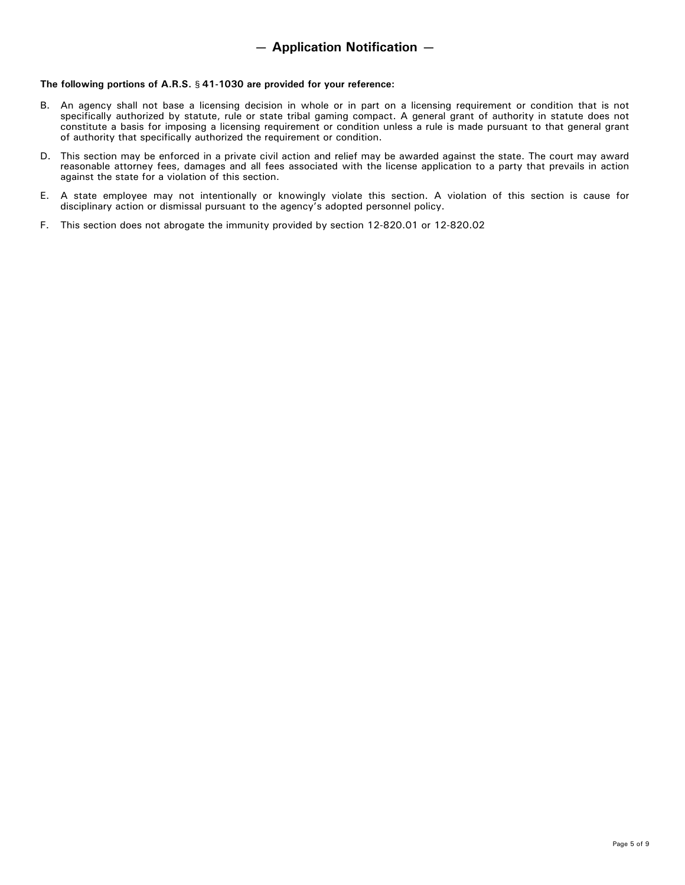#### **The following portions of A.R.S.** § **41-1030 are provided for your reference:**

- B. An agency shall not base a licensing decision in whole or in part on a licensing requirement or condition that is not specifically authorized by statute, rule or state tribal gaming compact. A general grant of authority in statute does not constitute a basis for imposing a licensing requirement or condition unless a rule is made pursuant to that general grant of authority that specifically authorized the requirement or condition.
- D. This section may be enforced in a private civil action and relief may be awarded against the state. The court may award reasonable attorney fees, damages and all fees associated with the license application to a party that prevails in action against the state for a violation of this section.
- E. A state employee may not intentionally or knowingly violate this section. A violation of this section is cause for disciplinary action or dismissal pursuant to the agency's adopted personnel policy.
- F. This section does not abrogate the immunity provided by section 12-820.01 or 12-820.02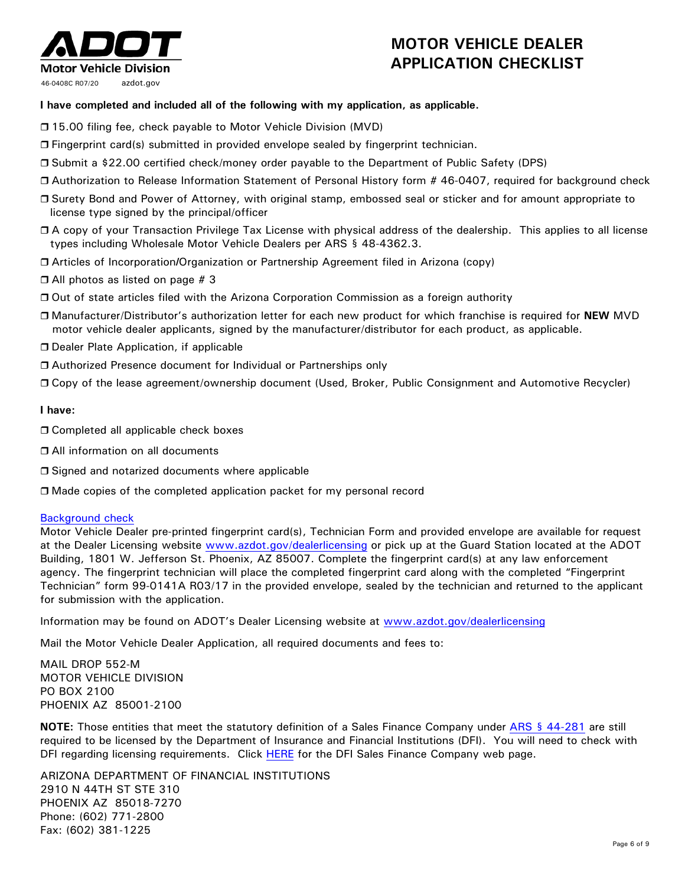# **Motor Vehicle Division** 46-0408C R07/20 azdot.gov

# **MOTOR VEHICLE DEALER APPLICATION CHECKLIST**

# **I have completed and included all of the following with my application, as applicable.**

- □ 15.00 filing fee, check payable to Motor Vehicle Division (MVD)
- Fingerprint card(s) submitted in provided envelope sealed by fingerprint technician.
- Submit a \$22.00 certified check/money order payable to the Department of Public Safety (DPS)
- Authorization to Release Information Statement of Personal History form # 46-0407, required for background check
- Surety Bond and Power of Attorney, with original stamp, embossed seal or sticker and for amount appropriate to license type signed by the principal/officer
- A copy of your Transaction Privilege Tax License with physical address of the dealership. This applies to all license types including Wholesale Motor Vehicle Dealers per ARS § 48-4362.3.
- Articles of Incorporation*I*Organization or Partnership Agreement filed in Arizona (copy)
- $\Box$  All photos as listed on page # 3
- Out of state articles filed with the Arizona Corporation Commission as a foreign authority
- Manufacturer/Distributor's authorization letter for each new product for which franchise is required for **NEW** MVD motor vehicle dealer applicants, signed by the manufacturer/distributor for each product, as applicable.
- □ Dealer Plate Application, if applicable
- □ Authorized Presence document for Individual or Partnerships only
- Copy of the lease agreement/ownership document (Used, Broker, Public Consignment and Automotive Recycler)

# **I have:**

- □ Completed all applicable check boxes
- □ All information on all documents
- □ Signed and notarized documents where applicable
- Made copies of the completed application packet for my personal record

# [Background check](http://www.azdot.gov/mvd/professional-services/dealer-licensing-services)

Motor Vehicle Dealer pre-printed fingerprint card(s), Technician Form and provided envelope are available for request at the Dealer Licensing website [www.azdot.gov/dealerlicensing](http://www.azdot.gov/dealerlicensing) or pick up at the Guard Station located at the ADOT Building, 1801 W. Jefferson St. Phoenix, AZ 85007. Complete the fingerprint card(s) at any law enforcement agency. The fingerprint technician will place the completed fingerprint card along with the completed "Fingerprint Technician" form 99-0141A R03/17 in the provided envelope, sealed by the technician and returned to the applicant for submission with the application.

Information may be found on ADOT's Dealer Licensing website at [www.azdot.gov/dealerlicensing](http://www.azdot.gov/dealerlicensing)

Mail the Motor Vehicle Dealer Application, all required documents and fees to:

MAIL DROP 552-M MOTOR VEHICLE DIVISION PO BOX 2100 PHOENIX AZ 85001-2100

**NOTE:** Those entities that meet the statutory definition of a Sales Finance Company under [ARS § 44-281](http://www.azleg.gov/FormatDocument.asp?inDoc=/ars/44/00281.htm&Title=44&DocType=ARS) are still required to be licensed by the Department of Insurance and Financial Institutions (DFI). You will need to check with DFI regarding licensing requirements. Click [HERE](http://www.azdfi.gov/Licensing/Licensing-FinServ/SF/SF.html) for the DFI Sales Finance Company web page.

ARIZONA DEPARTMENT OF FINANCIAL INSTITUTIONS 2910 N 44TH ST STE 310 PHOENIX AZ 85018-7270 Phone: (602) 771-2800 Fax: (602) 381-1225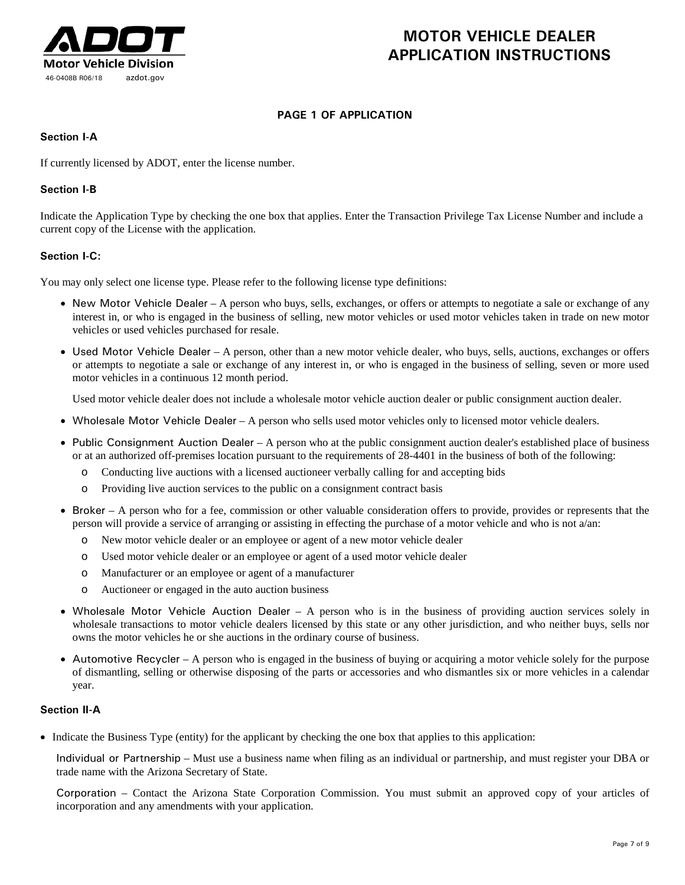

# **MOTOR VEHICLE DEALER APPLICATION INSTRUCTIONS**

# **PAGE 1 OF APPLICATION**

# **Section I-A**

If currently licensed by ADOT, enter the license number.

# **Section I-B**

Indicate the Application Type by checking the one box that applies. Enter the Transaction Privilege Tax License Number and include a current copy of the License with the application.

# **Section I-C:**

You may only select one license type. Please refer to the following license type definitions:

- New Motor Vehicle Dealer A person who buys, sells, exchanges, or offers or attempts to negotiate a sale or exchange of any interest in, or who is engaged in the business of selling, new motor vehicles or used motor vehicles taken in trade on new motor vehicles or used vehicles purchased for resale.
- Used Motor Vehicle Dealer A person, other than a new motor vehicle dealer, who buys, sells, auctions, exchanges or offers or attempts to negotiate a sale or exchange of any interest in, or who is engaged in the business of selling, seven or more used motor vehicles in a continuous 12 month period.

Used motor vehicle dealer does not include a wholesale motor vehicle auction dealer or public consignment auction dealer.

- Wholesale Motor Vehicle Dealer A person who sells used motor vehicles only to licensed motor vehicle dealers.
- Public Consignment Auction Dealer A person who at the public consignment auction dealer's established place of business or at an authorized off-premises location pursuant to the requirements of 28-4401 in the business of both of the following:
	- o Conducting live auctions with a licensed auctioneer verbally calling for and accepting bids
	- o Providing live auction services to the public on a consignment contract basis
- Broker A person who for a fee, commission or other valuable consideration offers to provide, provides or represents that the person will provide a service of arranging or assisting in effecting the purchase of a motor vehicle and who is not a/an:
	- o New motor vehicle dealer or an employee or agent of a new motor vehicle dealer
	- o Used motor vehicle dealer or an employee or agent of a used motor vehicle dealer
	- o Manufacturer or an employee or agent of a manufacturer
	- o Auctioneer or engaged in the auto auction business
- Wholesale Motor Vehicle Auction Dealer A person who is in the business of providing auction services solely in wholesale transactions to motor vehicle dealers licensed by this state or any other jurisdiction, and who neither buys, sells nor owns the motor vehicles he or she auctions in the ordinary course of business.
- Automotive Recycler A person who is engaged in the business of buying or acquiring a motor vehicle solely for the purpose of dismantling, selling or otherwise disposing of the parts or accessories and who dismantles six or more vehicles in a calendar year.

# **Section II-A**

• Indicate the Business Type (entity) for the applicant by checking the one box that applies to this application:

Individual or Partnership – Must use a business name when filing as an individual or partnership, and must register your DBA or trade name with the Arizona Secretary of State.

Corporation – Contact the Arizona State Corporation Commission. You must submit an approved copy of your articles of incorporation and any amendments with your application.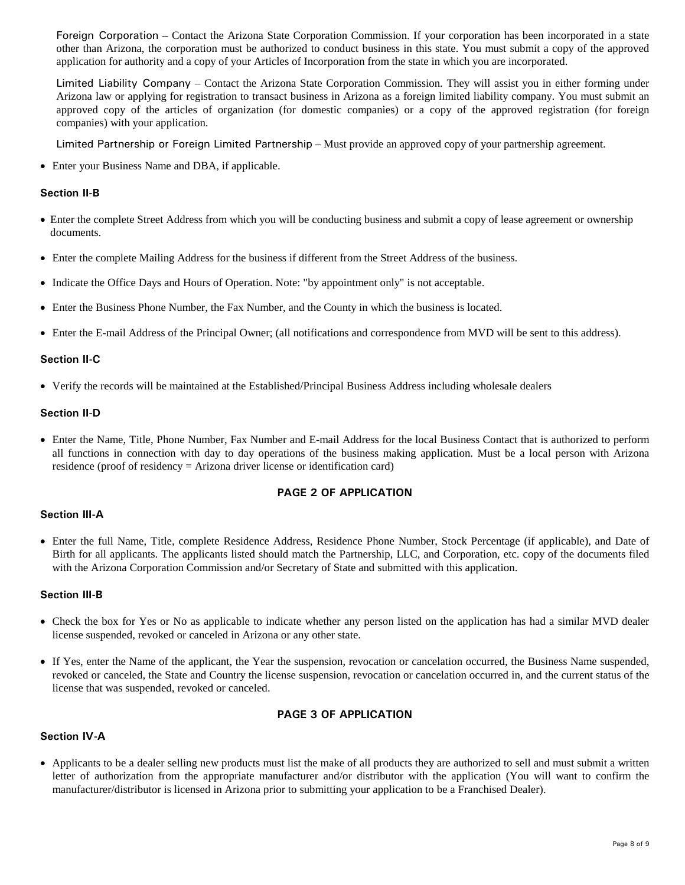Foreign Corporation – Contact the Arizona State Corporation Commission. If your corporation has been incorporated in a state other than Arizona, the corporation must be authorized to conduct business in this state. You must submit a copy of the approved application for authority and a copy of your Articles of Incorporation from the state in which you are incorporated.

Limited Liability Company – Contact the Arizona State Corporation Commission. They will assist you in either forming under Arizona law or applying for registration to transact business in Arizona as a foreign limited liability company. You must submit an approved copy of the articles of organization (for domestic companies) or a copy of the approved registration (for foreign companies) with your application.

Limited Partnership or Foreign Limited Partnership – Must provide an approved copy of your partnership agreement.

• Enter your Business Name and DBA, if applicable.

### **Section II-B**

- Enter the complete Street Address from which you will be conducting business and submit a copy of lease agreement or ownership documents.
- Enter the complete Mailing Address for the business if different from the Street Address of the business.
- Indicate the Office Days and Hours of Operation. Note: "by appointment only" is not acceptable.
- Enter the Business Phone Number, the Fax Number, and the County in which the business is located.
- Enter the E-mail Address of the Principal Owner; (all notifications and correspondence from MVD will be sent to this address).

### **Section II-C**

• Verify the records will be maintained at the Established/Principal Business Address including wholesale dealers

### **Section II-D**

• Enter the Name, Title, Phone Number, Fax Number and E-mail Address for the local Business Contact that is authorized to perform all functions in connection with day to day operations of the business making application. Must be a local person with Arizona residence (proof of residency = Arizona driver license or identification card)

### **PAGE 2 OF APPLICATION**

### **Section III-A**

• Enter the full Name, Title, complete Residence Address, Residence Phone Number, Stock Percentage (if applicable), and Date of Birth for all applicants. The applicants listed should match the Partnership, LLC, and Corporation, etc. copy of the documents filed with the Arizona Corporation Commission and/or Secretary of State and submitted with this application.

### **Section III-B**

- Check the box for Yes or No as applicable to indicate whether any person listed on the application has had a similar MVD dealer license suspended, revoked or canceled in Arizona or any other state.
- If Yes, enter the Name of the applicant, the Year the suspension, revocation or cancelation occurred, the Business Name suspended, revoked or canceled, the State and Country the license suspension, revocation or cancelation occurred in, and the current status of the license that was suspended, revoked or canceled.

### **PAGE 3 OF APPLICATION**

### **Section IV-A**

• Applicants to be a dealer selling new products must list the make of all products they are authorized to sell and must submit a written letter of authorization from the appropriate manufacturer and/or distributor with the application (You will want to confirm the manufacturer/distributor is licensed in Arizona prior to submitting your application to be a Franchised Dealer).